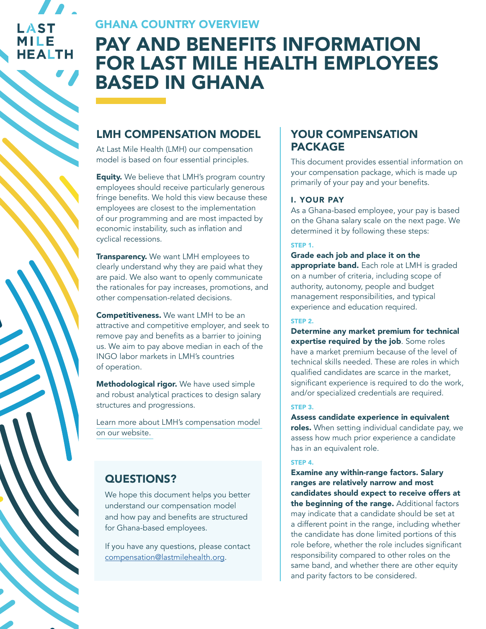## LAST **MILE HEALTH**

### GHANA COUNTRY OVERVIEW

# PAY AND BENEFITS INFORMATION FOR LAST MILE HEALTH EMPLOYEES BASED IN GHANA

## LMH COMPENSATION MODEL

At Last Mile Health (LMH) our compensation model is based on four essential principles.

**Equity.** We believe that LMH's program country employees should receive particularly generous fringe benefits. We hold this view because these employees are closest to the implementation of our programming and are most impacted by economic instability, such as inflation and cyclical recessions.

Transparency. We want LMH employees to clearly understand why they are paid what they are paid. We also want to openly communicate the rationales for pay increases, promotions, and other compensation-related decisions.

Competitiveness. We want LMH to be an attractive and competitive employer, and seek to remove pay and benefits as a barrier to joining us. We aim to pay above median in each of the INGO labor markets in LMH's countries of operation.

Methodological rigor. We have used simple and robust analytical practices to design salary structures and progressions.

Learn more about LMH's compensation model on our website.

## QUESTIONS?

We hope this document helps you better understand our compensation model and how pay and benefits are structured for Ghana-based employees.

If you have any questions, please contact [compensation@lastmilehealth.org](mailto:compensation%40lastmilehealth.org?subject=).

## YOUR COMPENSATION PACKAGE

This document provides essential information on your compensation package, which is made up primarily of your pay and your benefits.

#### I. YOUR PAY

As a Ghana-based employee, your pay is based on the Ghana salary scale on the next page. We determined it by following these steps:

#### STEP 1.

#### Grade each job and place it on the

appropriate band. Each role at LMH is graded on a number of criteria, including scope of authority, autonomy, people and budget management responsibilities, and typical experience and education required.

#### STEP 2.

Determine any market premium for technical expertise required by the job. Some roles have a market premium because of the level of technical skills needed. These are roles in which qualified candidates are scarce in the market, significant experience is required to do the work, and/or specialized credentials are required.

#### STEP 3.

Assess candidate experience in equivalent roles. When setting individual candidate pay, we assess how much prior experience a candidate has in an equivalent role.

#### STEP 4.

Examine any within-range factors. Salary ranges are relatively narrow and most candidates should expect to receive offers at the beginning of the range. Additional factors may indicate that a candidate should be set at a different point in the range, including whether the candidate has done limited portions of this role before, whether the role includes significant responsibility compared to other roles on the same band, and whether there are other equity and parity factors to be considered.